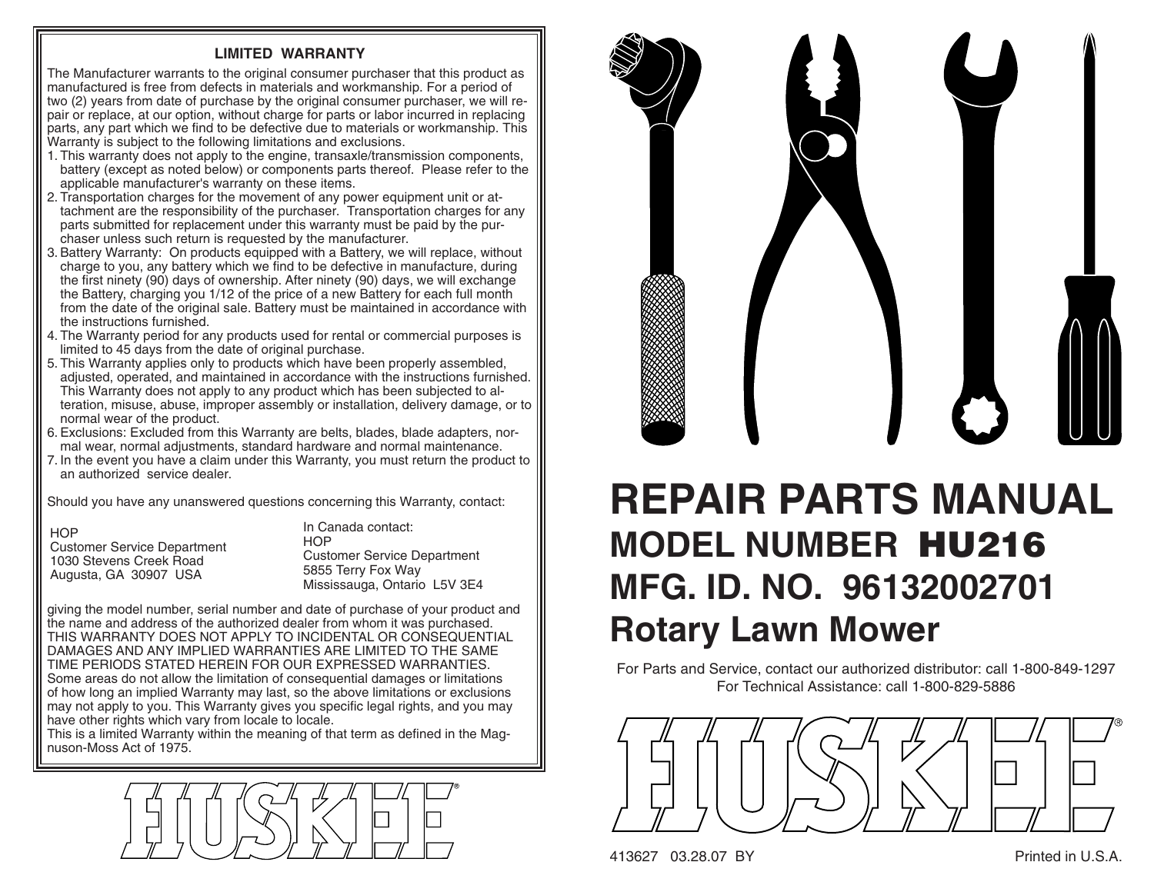## **LIMITED WARRANTY**

The Manufacturer warrants to the original consumer purchaser that this product as manufactured is free from defects in materials and workmanship. For a period of two (2) years from date of purchase by the original consumer purchaser, we will repair or replace, at our option, without charge for parts or labor incurred in replacing parts, any part which we find to be defective due to materials or work manship. This Warranty is subject to the following limitations and exclusions.

- 1. This warranty does not apply to the engine, transaxle/transmission components, battery (except as noted below) or components parts thereof. Please refer to the applicable manufacturer's warranty on these items.
- 2. Transportation charges for the movement of any power equipment unit or attach ment are the responsibility of the purchaser. Transportation charges for any parts submitted for replacement under this warranty must be paid by the purchaser unless such return is requested by the manufacturer.
- 3. Battery Warranty: On products equipped with a Battery, we will replace, without charge to you, any battery which we find to be defective in manufacture, during the first ninety (90) days of ownership. After ninety (90) days, we will exchange the Battery, charging you 1/12 of the price of a new Battery for each full month from the date of the original sale. Battery must be maintained in accordance with the instructions furnished.
- 4. The Warranty period for any products used for rental or commercial purposes is limited to 45 days from the date of original purchase.
- 5. This Warranty applies only to products which have been properly assembled, adjusted, operated, and maintained in accordance with the instructions furnished. This Warranty does not apply to any product which has been subjected to alter ation, misuse, abuse, improper assembly or installation, delivery damage, or to normal wear of the product.
- 6. Exclusions: Excluded from this Warranty are belts, blades, blade adapters, normal wear, normal adjustments, standard hardware and normal maintenance.
- 7. In the event you have a claim under this Warranty, you must return the product to an authorized service dealer.

Should you have any unanswered questions concerning this Warranty, contact:

**HOP** 

 Customer Service Department 1030 Stevens Creek RoadAugusta, GA 30907 USA

In Canada contact:**HOP**  Customer Service Department 5855 Terry Fox Way Mississauga, Ontario L5V 3E4

giving the model number, serial number and date of purchase of your product and the name and address of the authorized dealer from whom it was purchased. THIS WARRANTY DOES NOT APPLY TO INCIDENTAL OR CONSEQUENTIAL DAMAGES AND ANY IMPLIED WARRANTIES ARE LIMITED TO THE SAME TIME PERIODS STATED HEREIN FOR OUR EXPRESSED WARRANTIES. Some areas do not allow the limitation of consequential damages or limitations of how long an implied Warranty may last, so the above limitations or exclusions may not apply to you. This Warranty gives you specific legal rights, and you may have other rights which vary from locale to locale.

This is a limited Warranty within the meaning of that term as defined in the Magnuson-Moss Act of 1975.





## **REPAIR PARTS MANUALMODEL NUMBER HU216MFG. ID. NO. 96132002701Rotary Lawn Mower**

For Parts and Service, contact our authorized distributor: call 1-800-849-1297 For Technical Assistance: call 1-800-829-5886



413627 03.28.07 BY Printed in U.S.A.